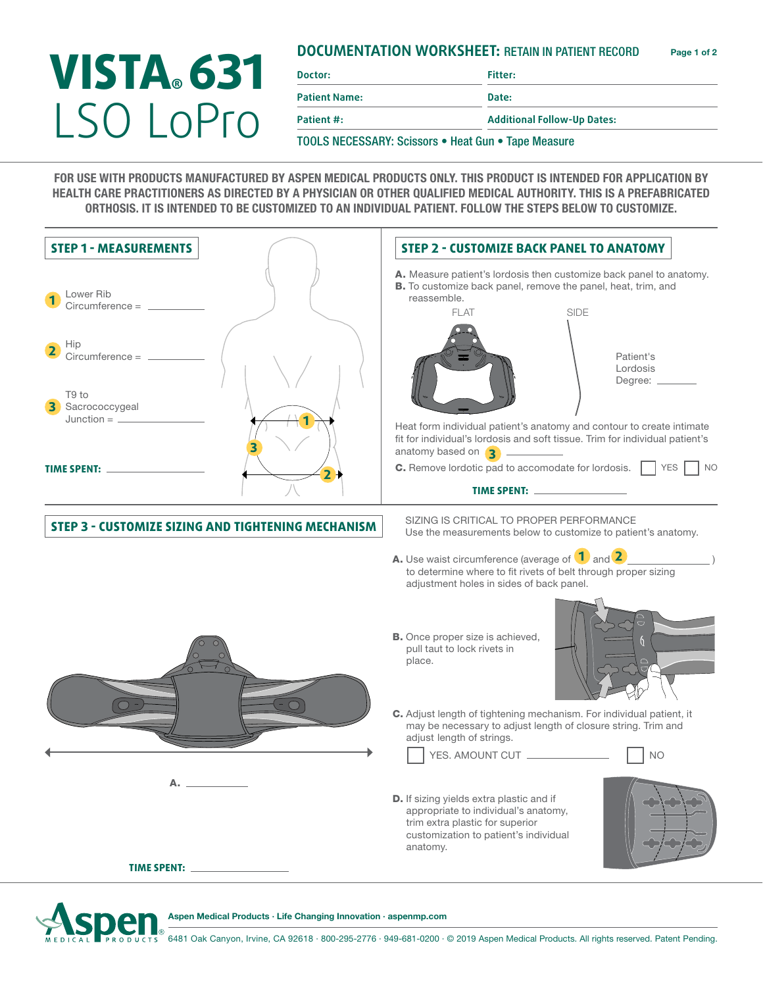## **DOCUMENTATION WORKSHEET:** RETAIN IN PATIENT RECORD Page 1 of 2

## **VISTA® 631** LSO LoPro

**Doctor: Fitter: Patient Name: Date:**

**Patient #: Additional Follow-Up Dates:**

TOOLS NECESSARY: Scissors • Heat Gun • Tape Measure

FOR USE WITH PRODUCTS MANUFACTURED BY ASPEN MEDICAL PRODUCTS ONLY. THIS PRODUCT IS INTENDED FOR APPLICATION BY HEALTH CARE PRACTITIONERS AS DIRECTED BY A PHYSICIAN OR OTHER QUALIFIED MEDICAL AUTHORITY. THIS IS A PREFABRICATED ORTHOSIS. IT IS INTENDED TO BE CUSTOMIZED TO AN INDIVIDUAL PATIENT. FOLLOW THE STEPS BELOW TO CUSTOMIZE.





Aspen Medical Products ∙ Life Changing Innovation ∙ aspenmp.com

6481 Oak Canyon, Irvine, CA 92618 ∙ 800-295-2776 ∙ 949-681-0200 ∙ © 2019 Aspen Medical Products. All rights reserved. Patent Pending.